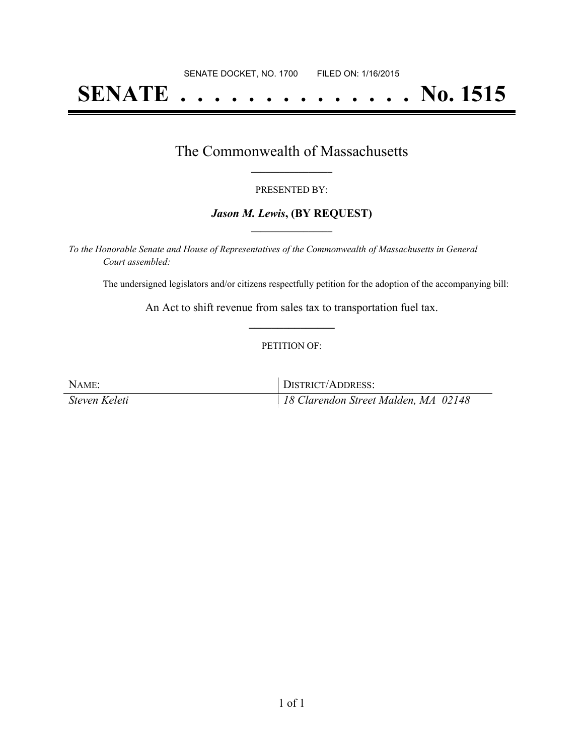# **SENATE . . . . . . . . . . . . . . No. 1515**

### The Commonwealth of Massachusetts **\_\_\_\_\_\_\_\_\_\_\_\_\_\_\_\_\_**

#### PRESENTED BY:

#### *Jason M. Lewis***, (BY REQUEST) \_\_\_\_\_\_\_\_\_\_\_\_\_\_\_\_\_**

*To the Honorable Senate and House of Representatives of the Commonwealth of Massachusetts in General Court assembled:*

The undersigned legislators and/or citizens respectfully petition for the adoption of the accompanying bill:

An Act to shift revenue from sales tax to transportation fuel tax. **\_\_\_\_\_\_\_\_\_\_\_\_\_\_\_**

#### PETITION OF:

| NAME:         | DISTRICT/ADDRESS:                    |
|---------------|--------------------------------------|
| Steven Keleti | 18 Clarendon Street Malden, MA 02148 |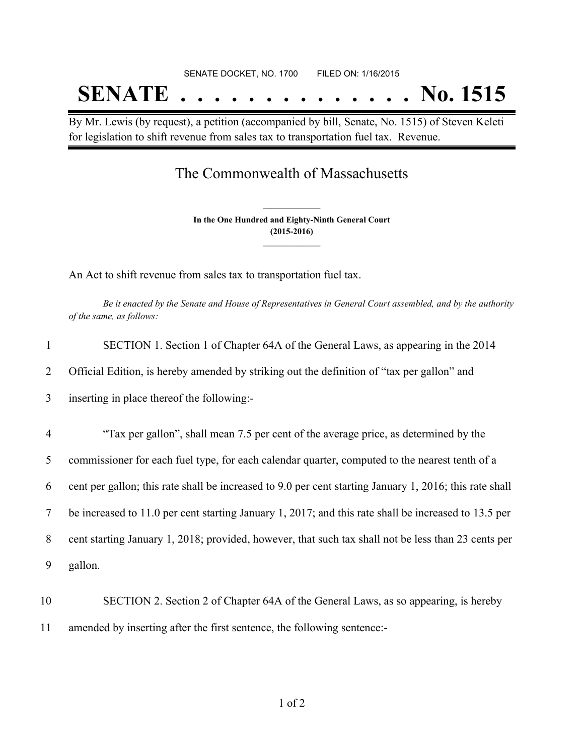# SENATE DOCKET, NO. 1700 FILED ON: 1/16/2015 **SENATE . . . . . . . . . . . . . . No. 1515**

By Mr. Lewis (by request), a petition (accompanied by bill, Senate, No. 1515) of Steven Keleti for legislation to shift revenue from sales tax to transportation fuel tax. Revenue.

## The Commonwealth of Massachusetts

**In the One Hundred and Eighty-Ninth General Court (2015-2016) \_\_\_\_\_\_\_\_\_\_\_\_\_\_\_**

**\_\_\_\_\_\_\_\_\_\_\_\_\_\_\_**

An Act to shift revenue from sales tax to transportation fuel tax.

Be it enacted by the Senate and House of Representatives in General Court assembled, and by the authority *of the same, as follows:*

| $\mathbf{1}$             | SECTION 1. Section 1 of Chapter 64A of the General Laws, as appearing in the 2014                       |
|--------------------------|---------------------------------------------------------------------------------------------------------|
| $\overline{2}$           | Official Edition, is hereby amended by striking out the definition of "tax per gallon" and              |
| $\overline{3}$           | inserting in place thereof the following:-                                                              |
| $\overline{4}$           | "Tax per gallon", shall mean 7.5 per cent of the average price, as determined by the                    |
| 5                        | commissioner for each fuel type, for each calendar quarter, computed to the nearest tenth of a          |
| 6                        | cent per gallon; this rate shall be increased to 9.0 per cent starting January 1, 2016; this rate shall |
| $\overline{\mathcal{L}}$ | be increased to 11.0 per cent starting January 1, 2017; and this rate shall be increased to 13.5 per    |
| 8                        | cent starting January 1, 2018; provided, however, that such tax shall not be less than 23 cents per     |
| 9                        | gallon.                                                                                                 |
| 10                       | SECTION 2. Section 2 of Chapter 64A of the General Laws, as so appearing, is hereby                     |
| 11                       | amended by inserting after the first sentence, the following sentence:-                                 |